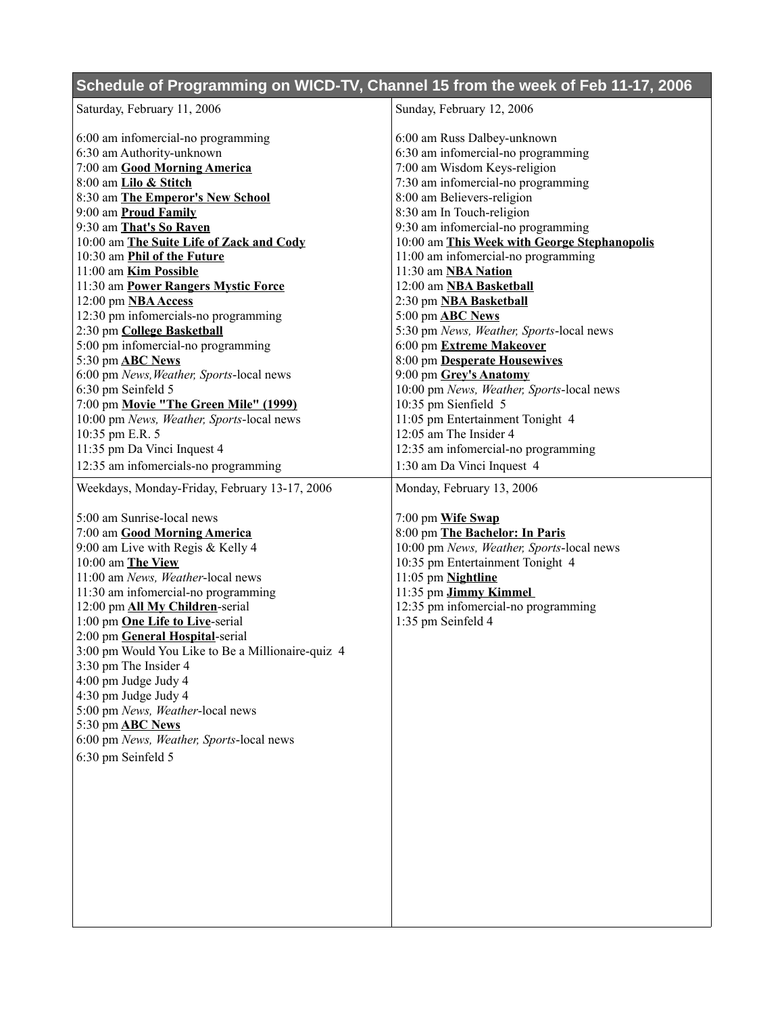## **Schedule of Programming on WICD-TV, Channel 15 from the week of Feb 11-17, 2006**

| Saturday, February 11, 2006                            | Sunday, February 12, 2006                                                     |
|--------------------------------------------------------|-------------------------------------------------------------------------------|
| 6:00 am infomercial-no programming                     | 6:00 am Russ Dalbey-unknown                                                   |
| 6:30 am Authority-unknown                              | 6:30 am infomercial-no programming                                            |
| 7:00 am Good Morning America                           | 7:00 am Wisdom Keys-religion                                                  |
| 8:00 am Lilo & Stitch                                  | 7:30 am infomercial-no programming                                            |
| 8:30 am The Emperor's New School                       | 8:00 am Believers-religion                                                    |
| 9:00 am Proud Family                                   | 8:30 am In Touch-religion                                                     |
| 9:30 am That's So Raven                                | 9:30 am infomercial-no programming                                            |
| 10:00 am The Suite Life of Zack and Cody               | 10:00 am This Week with George Stephanopolis                                  |
| 10:30 am Phil of the Future                            | 11:00 am infomercial-no programming                                           |
| 11:00 am Kim Possible                                  | 11:30 am <b>NBA Nation</b>                                                    |
| 11:30 am Power Rangers Mystic Force                    | 12:00 am NBA Basketball                                                       |
| 12:00 pm NBA Access                                    | 2:30 pm <b>NBA Basketball</b>                                                 |
| 12:30 pm infomercials-no programming                   | 5:00 pm <b>ABC</b> News                                                       |
| 2:30 pm College Basketball                             | 5:30 pm News, Weather, Sports-local news                                      |
| 5:00 pm infomercial-no programming                     | 6:00 pm Extreme Makeover                                                      |
| 5:30 pm <b>ABC</b> News                                | 8:00 pm Desperate Housewives                                                  |
| 6:00 pm News, Weather, Sports-local news               | 9:00 pm Grey's Anatomy                                                        |
| 6:30 pm Seinfeld 5                                     | 10:00 pm News, Weather, Sports-local news                                     |
| 7:00 pm Movie "The Green Mile" (1999)                  | 10:35 pm Sienfield 5                                                          |
| 10:00 pm News, Weather, Sports-local news              | 11:05 pm Entertainment Tonight 4                                              |
| 10:35 pm E.R. 5                                        | 12:05 am The Insider 4                                                        |
| 11:35 pm Da Vinci Inquest 4                            | 12:35 am infomercial-no programming                                           |
| 12:35 am infomercials-no programming                   | 1:30 am Da Vinci Inquest 4                                                    |
| Weekdays, Monday-Friday, February 13-17, 2006          | Monday, February 13, 2006                                                     |
|                                                        |                                                                               |
| 5:00 am Sunrise-local news                             | 7:00 pm Wife Swap                                                             |
| 7:00 am Good Morning America                           | 8:00 pm The Bachelor: In Paris                                                |
| 9:00 am Live with Regis & Kelly 4<br>10:00 am The View | 10:00 pm News, Weather, Sports-local news<br>10:35 pm Entertainment Tonight 4 |
| 11:00 am News, Weather-local news                      | 11:05 pm Nightline                                                            |
| 11:30 am infomercial-no programming                    | 11:35 pm Jimmy Kimmel                                                         |
| 12:00 pm All My Children-serial                        | 12:35 pm infomercial-no programming                                           |
| 1:00 pm One Life to Live-serial                        | 1:35 pm Seinfeld 4                                                            |
| 2:00 pm General Hospital-serial                        |                                                                               |
| 3:00 pm Would You Like to Be a Millionaire-quiz 4      |                                                                               |
| 3:30 pm The Insider 4                                  |                                                                               |
| 4:00 pm Judge Judy 4                                   |                                                                               |
| 4:30 pm Judge Judy 4                                   |                                                                               |
| 5:00 pm News, Weather-local news                       |                                                                               |
| 5:30 pm <b>ABC</b> News                                |                                                                               |
| 6:00 pm News, Weather, Sports-local news               |                                                                               |
| 6:30 pm Seinfeld 5                                     |                                                                               |
|                                                        |                                                                               |
|                                                        |                                                                               |
|                                                        |                                                                               |
|                                                        |                                                                               |
|                                                        |                                                                               |
|                                                        |                                                                               |
|                                                        |                                                                               |
|                                                        |                                                                               |
|                                                        |                                                                               |
|                                                        |                                                                               |
|                                                        |                                                                               |